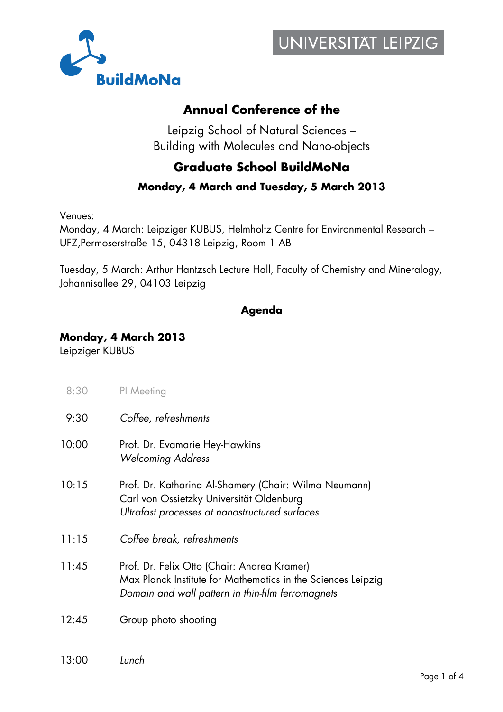



## **Annual Conference of the**

Leipzig School of Natural Sciences – Building with Molecules and Nano-objects

## **Graduate School BuildMoNa**

#### **Monday, 4 March and Tuesday, 5 March 2013**

Venues:

Monday, 4 March: Leipziger KUBUS, Helmholtz Centre for Environmental Research – UFZ,Permoserstraße 15, 04318 Leipzig, Room 1 AB

Tuesday, 5 March: Arthur Hantzsch Lecture Hall, Faculty of Chemistry and Mineralogy, Johannisallee 29, 04103 Leipzig

### **Agenda**

### **Monday, 4 March 2013**

Leipziger KUBUS

- 8:30 PI Meeting
- 9:30 *Coffee, refreshments*
- 10:00 Prof. Dr. Evamarie Hey-Hawkins *Welcoming Address*
- 10:15 Prof. Dr. Katharina Al-Shamery (Chair: Wilma Neumann) Carl von Ossietzky Universität Oldenburg *Ultrafast processes at nanostructured surfaces*
- 11:15 *Coffee break, refreshments*
- 11:45 Prof. Dr. Felix Otto (Chair: Andrea Kramer) Max Planck Institute for Mathematics in the Sciences Leipzig *Domain and wall pattern in thin-film ferromagnets*
- 12:45 Group photo shooting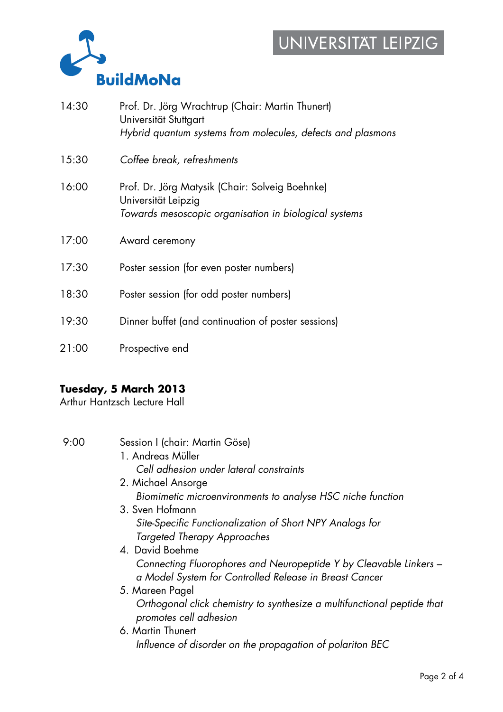# UNIVERSITAT LEIPZIG



| 14:30 | Prof. Dr. Jörg Wrachtrup (Chair: Martin Thunert)<br>Universität Stuttgart<br>Hybrid quantum systems from molecules, defects and plasmons |
|-------|------------------------------------------------------------------------------------------------------------------------------------------|
| 15:30 | Coffee break, refreshments                                                                                                               |
| 16:00 | Prof. Dr. Jörg Matysik (Chair: Solveig Boehnke)<br>Universität Leipzig<br>Towards mesoscopic organisation in biological systems          |
| 17:00 | Award ceremony                                                                                                                           |
| 17:30 | Poster session (for even poster numbers)                                                                                                 |
| 18:30 | Poster session (for odd poster numbers)                                                                                                  |
| 19:30 | Dinner buffet (and continuation of poster sessions)                                                                                      |
| 21:00 | Prospective end                                                                                                                          |

### **Tuesday, 5 March 2013**

Arthur Hantzsch Lecture Hall

| 9:00 | Session I (chair: Martin Göse)                                                                    |
|------|---------------------------------------------------------------------------------------------------|
|      | 1. Andreas Müller                                                                                 |
|      | Cell adhesion under lateral constraints                                                           |
|      | 2. Michael Ansorge                                                                                |
|      | Biomimetic microenvironments to analyse HSC niche function                                        |
|      | 3. Sven Hofmann                                                                                   |
|      | Site-Specific Functionalization of Short NPY Analogs for                                          |
|      | <b>Targeted Therapy Approaches</b>                                                                |
|      | 4. David Boehme                                                                                   |
|      | Connecting Fluorophores and Neuropeptide Y by Cleavable Linkers -                                 |
|      | a Model System for Controlled Release in Breast Cancer                                            |
|      | 5. Mareen Pagel                                                                                   |
|      | Orthogonal click chemistry to synthesize a multifunctional peptide that<br>promotes cell adhesion |
|      | 6. Martin Thunert                                                                                 |
|      | Influence of disorder on the propagation of polariton BEC                                         |
|      |                                                                                                   |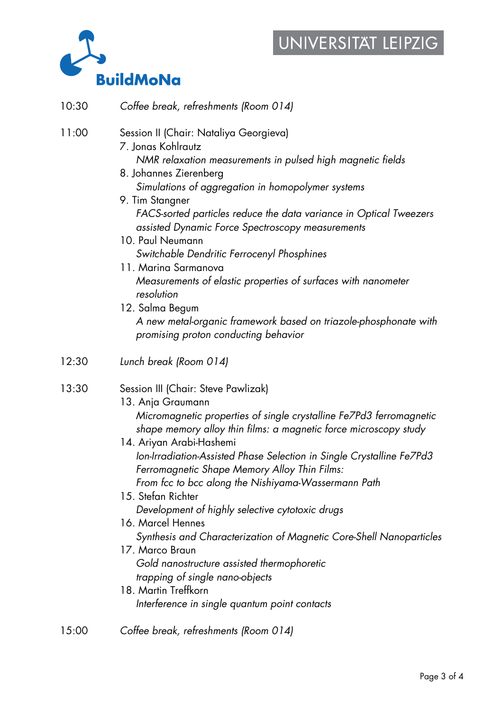## UNIVERSITAT LEIPZIG



10:30 *Coffee break, refreshments (Room 014)* 

| 11:00 | Session II (Chair: Nataliya Georgieva)<br>7. Jonas Kohlrautz<br>NMR relaxation measurements in pulsed high magnetic fields<br>8. Johannes Zierenberg<br>Simulations of aggregation in homopolymer systems<br>9. Tim Stangner<br>FACS-sorted particles reduce the data variance in Optical Tweezers<br>assisted Dynamic Force Spectroscopy measurements<br>10. Paul Neumann                                                                                                                                                                                                                                                                                                              |
|-------|-----------------------------------------------------------------------------------------------------------------------------------------------------------------------------------------------------------------------------------------------------------------------------------------------------------------------------------------------------------------------------------------------------------------------------------------------------------------------------------------------------------------------------------------------------------------------------------------------------------------------------------------------------------------------------------------|
|       | Switchable Dendritic Ferrocenyl Phosphines<br>11. Marina Sarmanova<br>Measurements of elastic properties of surfaces with nanometer<br>resolution<br>12. Salma Begum<br>A new metal-organic framework based on triazole-phosphonate with<br>promising proton conducting behavior                                                                                                                                                                                                                                                                                                                                                                                                        |
| 12:30 | Lunch break (Room 014)                                                                                                                                                                                                                                                                                                                                                                                                                                                                                                                                                                                                                                                                  |
| 13:30 | Session III (Chair: Steve Pawlizak)<br>13. Anja Graumann<br>Micromagnetic properties of single crystalline Fe7Pd3 ferromagnetic<br>shape memory alloy thin films: a magnetic force microscopy study<br>14. Ariyan Arabi-Hashemi<br>Ion-Irradiation-Assisted Phase Selection in Single Crystalline Fe7Pd3<br>Ferromagnetic Shape Memory Alloy Thin Films:<br>From fcc to bcc along the Nishiyama-Wassermann Path<br>15. Stefan Richter<br>Development of highly selective cytotoxic drugs<br>16. Marcel Hennes<br>Synthesis and Characterization of Magnetic Core-Shell Nanoparticle<br>17. Marco Braun<br>Gold nanostructure assisted thermophoretic<br>trapping of single nano-objects |

18. Martin Treffkorn *Interference in single quantum point contacts* 

#### 15:00 *Coffee break, refreshments (Room 014)*

*Synthesis and Characterization of Magnetic Core-Shell Nanoparticles*